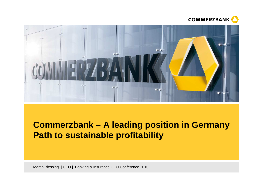



# **Commerzbank – A leading position in Germany Path to sustainable profitability**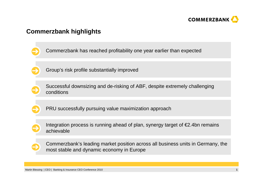

### **Commerzbank highlights**

- Commerzbank has reached profitability one year earlier than expected
- Group's risk profile substantially improved
- 
- Successful downsizing and de-risking of ABF, despite extremely challenging conditions
- PRU successfully pursuing value maximization approach
- Integration process is running ahead of plan, synergy target of €2.4bn remains achievable
- Commerzbank's leading market position across all business units in Germany, the most stable and dynamic economy in Europe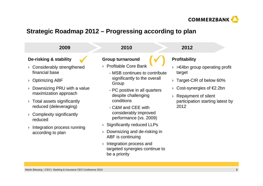

### **Strategic Roadmap 2012 – Progressing according to plan**



› Integration process and targeted synergies continue to be a priority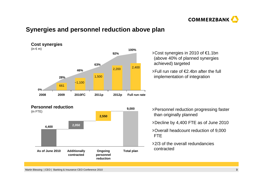

### **Synergies and personnel reduction above plan**



#### **Personnel reduction**



- Cost synergies in 2010 of €1.1bn (above 40% of planned synergies achieved) targeted
- Full run rate of €2.4bn after the full implementation of integration

- Personnel reduction progressing faster than originally planned
- Decline by 4,400 FTE as of June 2010
- Overall headcount reduction of 9,000 FTE
- 2/3 of the overall redundancies contracted
- Martin Blessing | CEO | Banking & Insurance CEO Conference 2010 **<sup>3</sup>**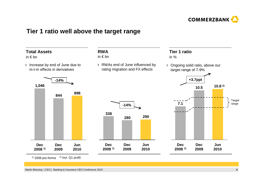

### **Tier 1 ratio well above the target range**



 $1)$  2008 pro-forma  $2)$  incl. Q1 profit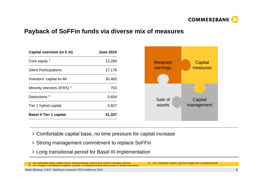

### **Payback of SoFFin funds via diverse mix of measures**

| Capital overview (in $\epsilon$ m)     | <b>June 2010</b> |  |
|----------------------------------------|------------------|--|
| Core equity $1$                        | 13,284           |  |
| <b>Silent Participations</b>           | 17,178           |  |
| Investors' capital ex MI               | 30,462           |  |
| Minority interests (IFRS) <sup>2</sup> | 703              |  |
| Deductions <sup>3</sup>                | $-3,654$         |  |
| Tier 1 hybrid capital                  | 3,827            |  |
| <b>Basel II Tier 1 capital</b>         | 31,337           |  |



- Comfortable capital base, no time pressure for capital increase
- Strong management commitment to replace SoFFin
- Long transitional period for Basel III implementation

1) Incl. subscribed capital, capital reserve, retained earnings, reserve from currency translation and P&L 2) Excl. revaluation reserve, cash flow hedges and consolidated profit 3) Incl. change in consolidated companies, goodwill, consolidated net profit minus portion of dividend and others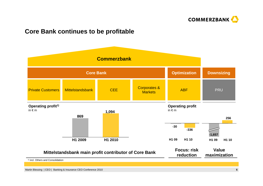

### **Core Bank continues to be profitable**

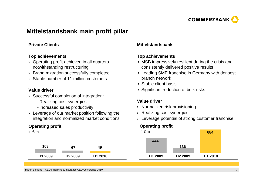

### **Mittelstandsbank main profit pillar**

#### **Private Clients**

#### **Top achievements**

- › Operating profit achieved in all quarters notwithstanding restructuring
- $\rightarrow$  Brand migration successfully completed
- › Stable number of 11 million customers

#### **Value driver**

- › Successful completion of integration:
	- Realizing cost synergies
	- Increased sales productivity
- › Leverage of our market position following the integration and normalized market conditions

#### **Operating profit**

in  $\notin$  m

| 103     |                     | 49      |
|---------|---------------------|---------|
| H1 2009 | H <sub>2</sub> 2009 | H1 2010 |

#### **Mittelstandsbank**

#### **Top achievements**

- MSB impressively resilient during the crisis and consistently delivered positive results
- Leading SME franchise in Germany with densest branch network
- Stable client basis
- Significant reduction of bulk-risks

#### **Value driver**

- › Normalized risk provisioning
- $\rightarrow$  Realizing cost synergies
- $\rightarrow$  Leverage potential of strong customer franchise

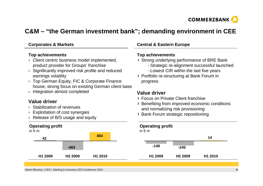

## **C&M – "the German investment bank"; demanding environment in CEE**

#### **Corporates & Markets**

#### **Top achievements**

- › Client centric business model implemented, product provider for Groups' franchise
- › Significantly improved risk profile and reduced earnings volatility
- › Top German Equity, FIC & Corporate Finance house, strong focus on existing German client base
- › Integration almost completed

#### **Value driver**

- › Stabilization of revenues
- › Exploitation of cost synergies
- › Release of B/S usage and equity

### **Operating profit**



#### **Central & Eastern Europe**

#### **Top achievements**

- Strong underlying performance of BRE Bank
	- Strategic re-alignment successful launched
	- Lowest CIR within the last five years
- Portfolio re-structuring at Bank Forum in progress

### **Value driver**

- Focus on Private Client franchise
- Benefiting from improved economic conditions and normalizing risk provisioning
- Bank Forum strategic repositioning

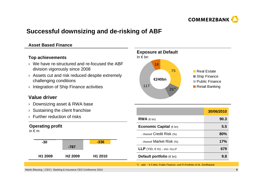

### **Successful downsizing and de-risking of ABF**

#### **Asset Based Finance**

#### **Top achievements**

- › We have re-structured and re-focused the ABF division vigorously since 2008
- › Assets cut and risk reduced despite extremely challenging conditions
- › Integration of Ship Finance activities

### **Value driver**

- › Downsizing asset & RWA base
- › Sustaining the client franchise
- › Further reduction of risks

#### **Operating profit**

in € <sup>m</sup>





|                                        | 30/06/2010 |
|----------------------------------------|------------|
| $RWA$ ( $\in$ bn)                      | 90.3       |
| <b>Economic Capital</b> $(\in$ bn)     | 5.5        |
| - thereof Credit Risk (%)              | 80%        |
| - thereof Market Risk (%)              | 17%        |
| <b>LLP</b> (YtD, $\in$ m) – incl. GLLP | 679        |
| <b>Default portfolio</b> ( $\in$ bn)   | 9.8        |

\*) add. ~ € 5 Mrd. Public Finance- und FI-Portfolio of Dt. Schiffsbank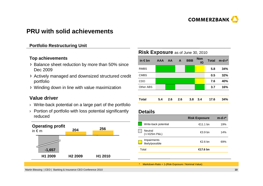

### **PRU with solid achievements**

#### **Portfolio Restructuring Unit**

#### **Top achievements**

- > Balance sheet reduction by more than 50% since Dec 2009
- Actively managed and downsized structured credit portfolio
- Winding down in line with value maximization

#### **Value driver**

- › Write-back potential on a large part of the portfolio
- › Portion of portfolio with loss potential significantly reduced



#### **Risk Exposure** as of June 30, 2010

| in $\epsilon$ bn | <b>AAA</b> | <b>AA</b> | A   | <b>BBB</b> | <b>Non</b><br>IG | <b>Total</b> | $m-d-r$ * |
|------------------|------------|-----------|-----|------------|------------------|--------------|-----------|
| <b>RMBS</b>      |            |           |     |            |                  | 5.8          | 34%       |
| <b>CMBS</b>      |            |           |     |            |                  | 0.5          | 32%       |
| <b>CDO</b>       |            |           |     |            |                  | 7.6          | 40%       |
| Other ABS        |            |           |     |            |                  | 3.7          | 16%       |
|                  |            |           |     |            |                  |              |           |
| <b>Total</b>     | 5.4        | 2.6       | 2.6 | 3.8        | 3.4              | 17.6         | 34%       |

#### **Details**

|                                | <b>Risk Exposure</b> | $m-d-r$ * |
|--------------------------------|----------------------|-----------|
| Write-back potential           | €11.1 bn             | 19%       |
| Neutral<br>(+/-€25m P&L)       | €3.9 bn              | 14%       |
| Impairments<br>likely/possible | €2.6 bn              | 69%       |
| Total                          | €17.6 bn             |           |
|                                |                      |           |

\* Markdown-Ratio = 1-(Risk Exposure / Nominal Value)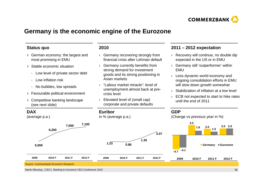

### **Germany is the economic engine of the Eurozone**

#### **Status quo**

- German economy: the largest and most promising in EMU
- Stable economic situation
	- Low level of private sector debt
	- Low inflation risk
	- No bubbles, low spreads
- Favourable political environment
- Competitive banking landscape (see next slide)

#### **2010**

- › Germany recovering strongly from financial crisis after Lehman default
- › Germany currently benefits from strong demand for investment goods and its strong positioning in Asian markets
- › "Labour market miracle": level of unemployment almost back at precrisis level
- › Elevated level of (small cap) corporate and private defaults

#### **2011 – 2012 expectation**

- › Recovery will continue, no double dip expected in the US or in EMU
- › Germany still 'outperformer' within EMU
- › Less dynamic world economy and ongoing consolidation efforts in EMU will slow down growth somewhat
- $\rightarrow$  Stabilization of inflation at a low level
- › ECB not expected to start to hike rates until the end of 2011

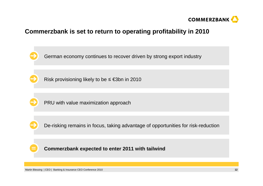

### **Commerzbank is set to return to operating profitability in 2010**

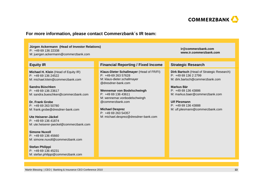

#### **For more information, please contact Commerzbank´s IR team:**

#### **Jürgen Ackermann (Head of Investor Relations)**

P: +49 69 136 22338

M: juergen.ackermann@commerzbank.com

#### **Equity IR**

**Michael H. Klein** (Head of Equity IR)P: +49 69 136 24522M: michael.klein@commerzbank.com

**Sandra Büschken** P: +49 69 136 23617M: sandra.bueschken@commerzbank.com

**Dr. Frank Grobe** P: +49 69 263 50780M: frank.grobe@dresdner-bank.com

**Ute Heiserer-Jäckel** P: +49 69 136 41874M: ute.heiserer-jaeckel@commerzbank.com

**Simone Nuxoll** P: +49 69 136 45660M: simone.nuxoll@commerzbank.com

**Stefan Philippi** P: +49 69 136 45231M: stefan.philippi@commerzbank.com

#### **Financial Reporting / Fixed Income Strategic Research**

**Klaus-Dieter Schallmayer** (Head of FR/FI) P: +49-69 263 57628 M: klaus-dieter.schallmayer@dresdner-bank.com

**Wennemar von Bodelschwingh** $P: +496913643611$  M: wennemar.vonbodelschwingh@commerzbank.com

**Michael Desprez** P: +49 69 263 54357M: michael.desprez@dresdner-bank.com **ir@commerzbank.comwww.ir.commerzbank.com**

**Dirk Bartsch** (Head of Strategic Research) P: +49 69 136 2 2799 M: dirk.bartsch@commerzbank.com

**Markus Bär** P: +49 69 136 43886 M: markus.baer@commerzbank.com

**Ulf Plesmann** P: +49 69 136 43888 M: ulf.plesmann@commerzbank.com